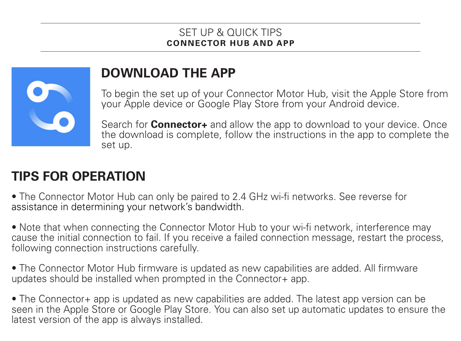## SET UP & QUICK TIPS<br>CONNECTOR HUR AND APP



## **DOWNLOAD THE APP**

To begin the set up of your Connector Motor Hub, visit the Apple Store from your Apple device or Google Play Store from your Android device.

Search for **Connector+** and allow the app to download to your device. Once the download is complete, follow the instructions in the app to complete the set up.

## **TIPS FOR OPERATION**

- The Connector Motor Hub can only be paired to 2.4 GHz wi-fi networks. See reverse for assistance in determining your network's bandwidth.
- Note that when connecting the Connector Motor Hub to your wi-fi network, interference may cause the initial connection to fail. If you receive a failed connection message, restart the process, following connection instructions carefully.
- The Connector Motor Hub firmware is updated as new capabilities are added. All firmware updates should be installed when prompted in the Connector+ app.
- The Connector+ app is updated as new capabilities are added. The latest app version can be seen in the Apple Store or Google Play Store. You can also set up automatic updates to ensure the latest version of the app is always installed.